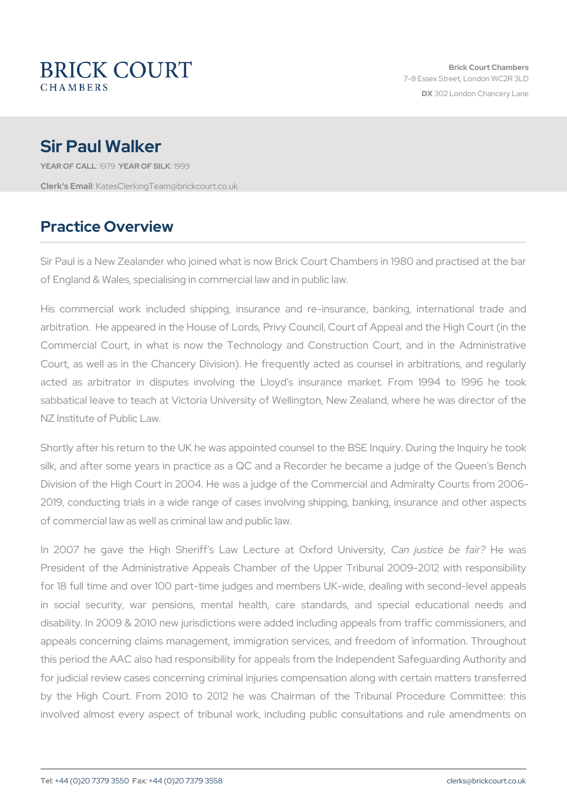# Sir Paul Walker

YEAR OF CALLSLY SEAR OF SILL 909 Clerk's E. KatesClerkingTeam@brickcourt.co.uk

## Practice Overview

Sir Paul is a New Zealander who joined what is now Brick Court Cham of England & Wales, specialising in commercial law and in public law.

His commercial work included shipping, insurance and re-insuran arbitration. He appeared in the House of Lords, Privy Council, Court Commercial Court, in what is now the Technology and Constructio Court, as well as in the Chancery Division). He frequently acted as acted as arbitrator in disputes involving the Lloyd s insurance sabbatical leave to teach at Victoria University of Wellington, New Z NZ Institute of Public Law.

Shortly after his return to the UK he was appointed counsel to the BS silk, and after some years in practice as a QC and a Recorder he b Division of the High Court in 2004. He was a judge of the Commercial 2019, conducting trials in a wide range of cases involving shipping, of commercial law as well as criminal law and public law.

In 2007 he gave the High Sheriff s Law L@ ant urieus at the ord under diversible in President of the Administrative Appeals Chamber of the Upper Trib for 18 full time and over 100 part-time judges and members UK-wide in social security, war pensions, mental health, care standards disability. In 2009 & 2010 new jurisdictions were added including app appeals concerning claims management, immigration services, and fr this period the AAC also had responsibility for appeals from the Indep for judicial review cases concerning criminal injuries compensation a by the High Court. From 2010 to 2012 he was Chairman of the involved almost every aspect of tribunal work, including public con